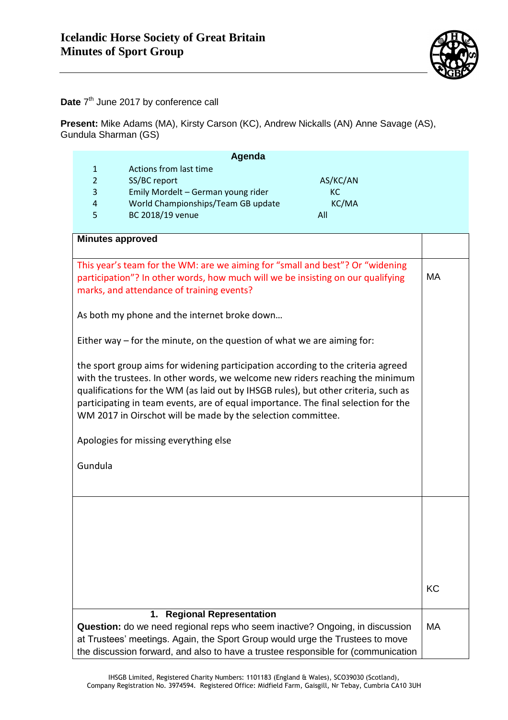

**Date** 7<sup>th</sup> June 2017 by conference call

**Present:** Mike Adams (MA), Kirsty Carson (KC), Andrew Nickalls (AN) Anne Savage (AS), Gundula Sharman (GS)

| Agenda                                                                                                                                                                                                                                                                                                                                                                                                         |                                      |          |           |
|----------------------------------------------------------------------------------------------------------------------------------------------------------------------------------------------------------------------------------------------------------------------------------------------------------------------------------------------------------------------------------------------------------------|--------------------------------------|----------|-----------|
| $\mathbf{1}$                                                                                                                                                                                                                                                                                                                                                                                                   | Actions from last time               |          |           |
| $\overline{2}$                                                                                                                                                                                                                                                                                                                                                                                                 | SS/BC report                         | AS/KC/AN |           |
| 3                                                                                                                                                                                                                                                                                                                                                                                                              | Emily Mordelt - German young rider   | KC       |           |
| $\overline{4}$                                                                                                                                                                                                                                                                                                                                                                                                 | World Championships/Team GB update   | KC/MA    |           |
| 5                                                                                                                                                                                                                                                                                                                                                                                                              | BC 2018/19 venue                     | All      |           |
|                                                                                                                                                                                                                                                                                                                                                                                                                | <b>Minutes approved</b>              |          |           |
|                                                                                                                                                                                                                                                                                                                                                                                                                |                                      |          |           |
| This year's team for the WM: are we aiming for "small and best"? Or "widening<br>participation"? In other words, how much will we be insisting on our qualifying<br>marks, and attendance of training events?                                                                                                                                                                                                  |                                      |          | MA        |
| As both my phone and the internet broke down                                                                                                                                                                                                                                                                                                                                                                   |                                      |          |           |
| Either way $-$ for the minute, on the question of what we are aiming for:                                                                                                                                                                                                                                                                                                                                      |                                      |          |           |
| the sport group aims for widening participation according to the criteria agreed<br>with the trustees. In other words, we welcome new riders reaching the minimum<br>qualifications for the WM (as laid out by IHSGB rules), but other criteria, such as<br>participating in team events, are of equal importance. The final selection for the<br>WM 2017 in Oirschot will be made by the selection committee. |                                      |          |           |
| Apologies for missing everything else                                                                                                                                                                                                                                                                                                                                                                          |                                      |          |           |
| Gundula                                                                                                                                                                                                                                                                                                                                                                                                        |                                      |          |           |
|                                                                                                                                                                                                                                                                                                                                                                                                                |                                      |          |           |
|                                                                                                                                                                                                                                                                                                                                                                                                                |                                      |          |           |
|                                                                                                                                                                                                                                                                                                                                                                                                                |                                      |          |           |
|                                                                                                                                                                                                                                                                                                                                                                                                                |                                      |          |           |
|                                                                                                                                                                                                                                                                                                                                                                                                                |                                      |          |           |
|                                                                                                                                                                                                                                                                                                                                                                                                                |                                      |          | KC        |
|                                                                                                                                                                                                                                                                                                                                                                                                                | <b>Regional Representation</b><br>1. |          |           |
| Question: do we need regional reps who seem inactive? Ongoing, in discussion<br>at Trustees' meetings. Again, the Sport Group would urge the Trustees to move<br>the discussion forward, and also to have a trustee responsible for (communication                                                                                                                                                             |                                      |          | <b>MA</b> |